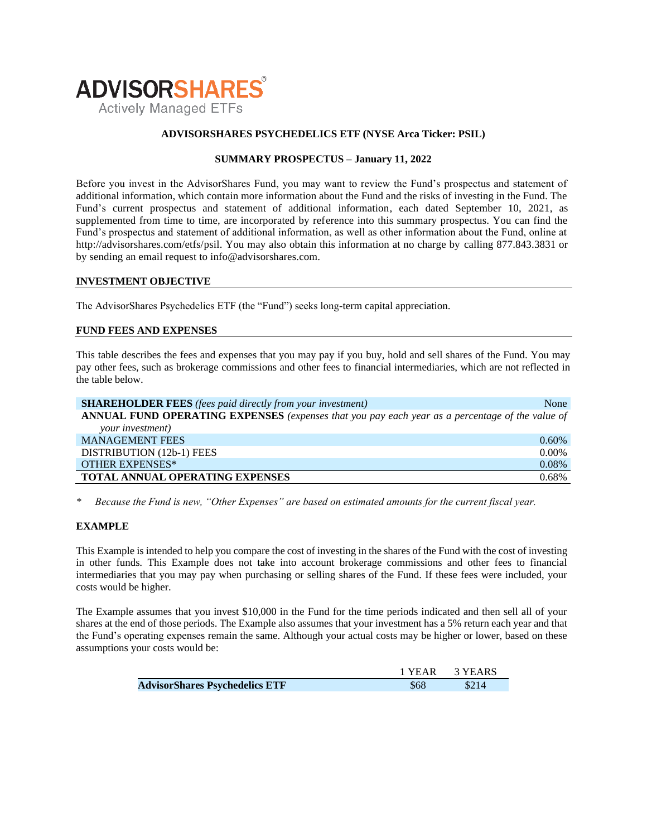

## **ADVISORSHARES PSYCHEDELICS ETF (NYSE Arca Ticker: PSIL)**

## **SUMMARY PROSPECTUS – January 11, 2022**

Before you invest in the AdvisorShares Fund, you may want to review the Fund's prospectus and statement of additional information, which contain more information about the Fund and the risks of investing in the Fund. The Fund's current [prospectus and statement of additional information,](https://www.sec.gov/ix?doc=/Archives/edgar/data/1408970/000182912621009881/ck0001408970-20210630.htm) each dated September 10, 2021, as supplemented from time to time, are incorporated by reference into this summary prospectus. You can find the Fund's prospectus and statement of additional information, as well as other information about the Fund, online at http://advisorshares.com/etfs/psil. You may also obtain this information at no charge by calling 877.843.3831 or by sending an email request to info@advisorshares.com.

### **INVESTMENT OBJECTIVE**

The AdvisorShares Psychedelics ETF (the "Fund") seeks long-term capital appreciation.

## **FUND FEES AND EXPENSES**

This table describes the fees and expenses that you may pay if you buy, hold and sell shares of the Fund. You may pay other fees, such as brokerage commissions and other fees to financial intermediaries, which are not reflected in the table below.

| <b>SHAREHOLDER FEES</b> (fees paid directly from your investment)                               | None     |
|-------------------------------------------------------------------------------------------------|----------|
| ANNUAL FUND OPERATING EXPENSES (expenses that you pay each year as a percentage of the value of |          |
| your investment)                                                                                |          |
| <b>MANAGEMENT FEES</b>                                                                          | 0.60%    |
| DISTRIBUTION (12b-1) FEES                                                                       | $0.00\%$ |
| <b>OTHER EXPENSES*</b>                                                                          | 0.08%    |
| <b>TOTAL ANNUAL OPERATING EXPENSES</b>                                                          | 0.68%    |

*\* Because the Fund is new, "Other Expenses" are based on estimated amounts for the current fiscal year.*

## **EXAMPLE**

This Example is intended to help you compare the cost of investing in the shares of the Fund with the cost of investing in other funds. This Example does not take into account brokerage commissions and other fees to financial intermediaries that you may pay when purchasing or selling shares of the Fund. If these fees were included, your costs would be higher.

The Example assumes that you invest \$10,000 in the Fund for the time periods indicated and then sell all of your shares at the end of those periods. The Example also assumes that your investment has a 5% return each year and that the Fund's operating expenses remain the same. Although your actual costs may be higher or lower, based on these assumptions your costs would be:

|                                       |      | 1 YEAR 3 YEARS |
|---------------------------------------|------|----------------|
| <b>AdvisorShares Psychedelics ETF</b> | \$68 |                |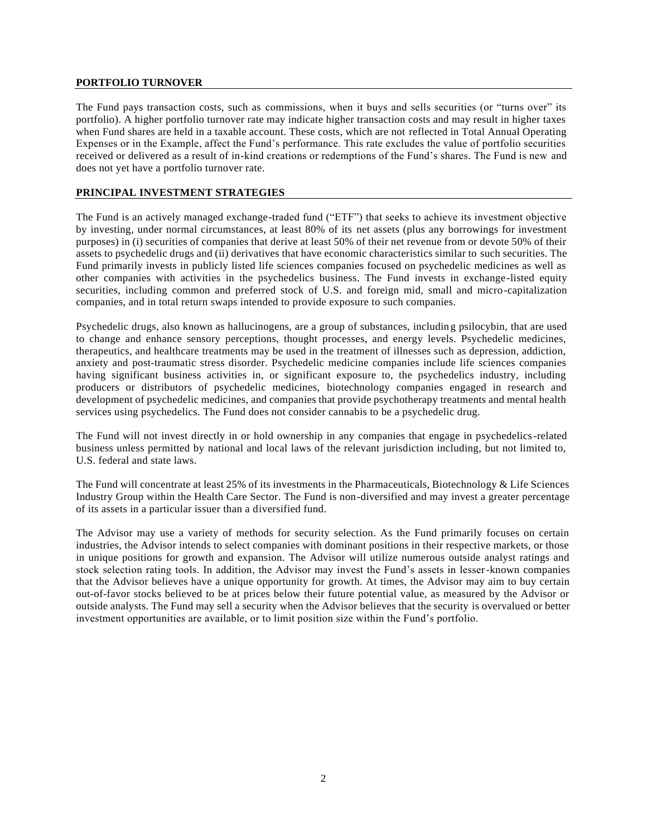## **PORTFOLIO TURNOVER**

The Fund pays transaction costs, such as commissions, when it buys and sells securities (or "turns over" its portfolio). A higher portfolio turnover rate may indicate higher transaction costs and may result in higher taxes when Fund shares are held in a taxable account. These costs, which are not reflected in Total Annual Operating Expenses or in the Example, affect the Fund's performance. This rate excludes the value of portfolio securities received or delivered as a result of in-kind creations or redemptions of the Fund's shares. The Fund is new and does not yet have a portfolio turnover rate.

## **PRINCIPAL INVESTMENT STRATEGIES**

The Fund is an actively managed exchange-traded fund ("ETF") that seeks to achieve its investment objective by investing, under normal circumstances, at least 80% of its net assets (plus any borrowings for investment purposes) in (i) securities of companies that derive at least 50% of their net revenue from or devote 50% of their assets to psychedelic drugs and (ii) derivatives that have economic characteristics similar to such securities. The Fund primarily invests in publicly listed life sciences companies focused on psychedelic medicines as well as other companies with activities in the psychedelics business. The Fund invests in exchange -listed equity securities, including common and preferred stock of U.S. and foreign mid, small and micro-capitalization companies, and in total return swaps intended to provide exposure to such companies.

Psychedelic drugs, also known as hallucinogens, are a group of substances, includin g psilocybin, that are used to change and enhance sensory perceptions, thought processes, and energy levels. Psychedelic medicines, therapeutics, and healthcare treatments may be used in the treatment of illnesses such as depression, addiction, anxiety and post-traumatic stress disorder. Psychedelic medicine companies include life sciences companies having significant business activities in, or significant exposure to, the psychedelics industry, including producers or distributors of psychedelic medicines, biotechnology companies engaged in research and development of psychedelic medicines, and companies that provide psychotherapy treatments and mental health services using psychedelics. The Fund does not consider cannabis to be a psychedelic drug.

The Fund will not invest directly in or hold ownership in any companies that engage in psychedelics-related business unless permitted by national and local laws of the relevant jurisdiction including, but not limited to, U.S. federal and state laws.

The Fund will concentrate at least 25% of its investments in the Pharmaceuticals, Biotechnology & Life Sciences Industry Group within the Health Care Sector. The Fund is non-diversified and may invest a greater percentage of its assets in a particular issuer than a diversified fund.

The Advisor may use a variety of methods for security selection. As the Fund primarily focuses on certain industries, the Advisor intends to select companies with dominant positions in their respective markets, or those in unique positions for growth and expansion. The Advisor will utilize numerous outside analyst ratings and stock selection rating tools. In addition, the Advisor may invest the Fund's assets in lesser-known companies that the Advisor believes have a unique opportunity for growth. At times, the Advisor may aim to buy certain out-of-favor stocks believed to be at prices below their future potential value, as measured by the Advisor or outside analysts. The Fund may sell a security when the Advisor believes that the security is overvalued or better investment opportunities are available, or to limit position size within the Fund's portfolio.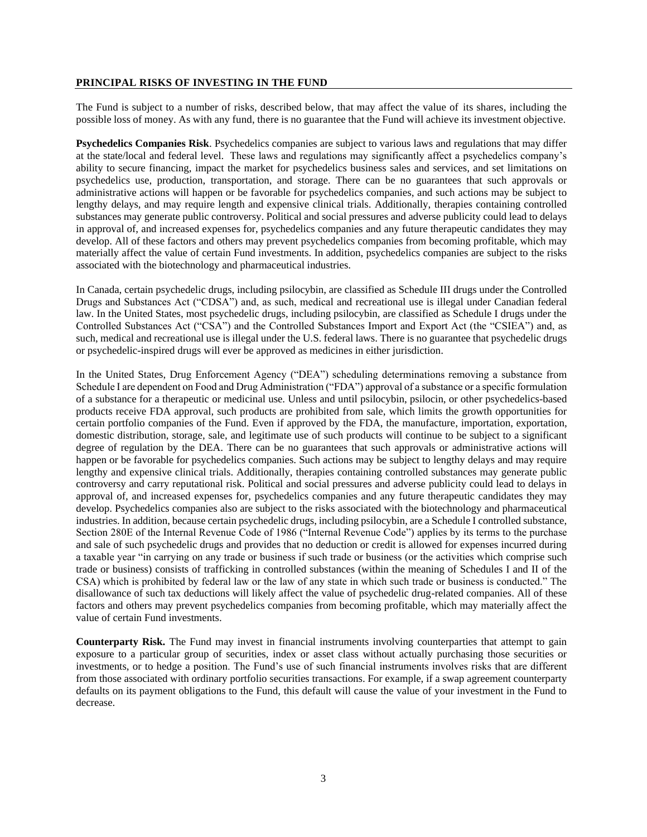### **PRINCIPAL RISKS OF INVESTING IN THE FUND**

The Fund is subject to a number of risks, described below, that may affect the value of its shares, including the possible loss of money. As with any fund, there is no guarantee that the Fund will achieve its investment objective.

**Psychedelics Companies Risk**. Psychedelics companies are subject to various laws and regulations that may differ at the state/local and federal level. These laws and regulations may significantly affect a psychedelics company's ability to secure financing, impact the market for psychedelics business sales and services, and set limitations on psychedelics use, production, transportation, and storage. There can be no guarantees that such approvals or administrative actions will happen or be favorable for psychedelics companies, and such actions may be subject to lengthy delays, and may require length and expensive clinical trials. Additionally, therapies containing controlled substances may generate public controversy. Political and social pressures and adverse publicity could lead to delays in approval of, and increased expenses for, psychedelics companies and any future therapeutic candidates they may develop. All of these factors and others may prevent psychedelics companies from becoming profitable, which may materially affect the value of certain Fund investments. In addition, psychedelics companies are subject to the risks associated with the biotechnology and pharmaceutical industries.

In Canada, certain psychedelic drugs, including psilocybin, are classified as Schedule III drugs under the Controlled Drugs and Substances Act ("CDSA") and, as such, medical and recreational use is illegal under Canadian federal law. In the United States, most psychedelic drugs, including psilocybin, are classified as Schedule I drugs under the Controlled Substances Act ("CSA") and the Controlled Substances Import and Export Act (the "CSIEA") and, as such, medical and recreational use is illegal under the U.S. federal laws. There is no guarantee that psychedelic drugs or psychedelic-inspired drugs will ever be approved as medicines in either jurisdiction.

In the United States, Drug Enforcement Agency ("DEA") scheduling determinations removing a substance from Schedule I are dependent on Food and Drug Administration ("FDA") approval of a substance or a specific formulation of a substance for a therapeutic or medicinal use. Unless and until psilocybin, psilocin, or other psychedelics-based products receive FDA approval, such products are prohibited from sale, which limits the growth opportunities for certain portfolio companies of the Fund. Even if approved by the FDA, the manufacture, importation, exportation, domestic distribution, storage, sale, and legitimate use of such products will continue to be subject to a significant degree of regulation by the DEA. There can be no guarantees that such approvals or administrative actions will happen or be favorable for psychedelics companies. Such actions may be subject to lengthy delays and may require lengthy and expensive clinical trials. Additionally, therapies containing controlled substances may generate public controversy and carry reputational risk. Political and social pressures and adverse publicity could lead to delays in approval of, and increased expenses for, psychedelics companies and any future therapeutic candidates they may develop. Psychedelics companies also are subject to the risks associated with the biotechnology and pharmaceutical industries. In addition, because certain psychedelic drugs, including psilocybin, are a Schedule I controlled substance, Section 280E of the Internal Revenue Code of 1986 ("Internal Revenue Code") applies by its terms to the purchase and sale of such psychedelic drugs and provides that no deduction or credit is allowed for expenses incurred during a taxable year "in carrying on any trade or business if such trade or business (or the activities which comprise such trade or business) consists of trafficking in controlled substances (within the meaning of Schedules I and II of the CSA) which is prohibited by federal law or the law of any state in which such trade or business is conducted." The disallowance of such tax deductions will likely affect the value of psychedelic drug-related companies. All of these factors and others may prevent psychedelics companies from becoming profitable, which may materially affect the value of certain Fund investments.

**Counterparty Risk.** The Fund may invest in financial instruments involving counterparties that attempt to gain exposure to a particular group of securities, index or asset class without actually purchasing those securities or investments, or to hedge a position. The Fund's use of such financial instruments involves risks that are different from those associated with ordinary portfolio securities transactions. For example, if a swap agreement counterparty defaults on its payment obligations to the Fund, this default will cause the value of your investment in the Fund to decrease.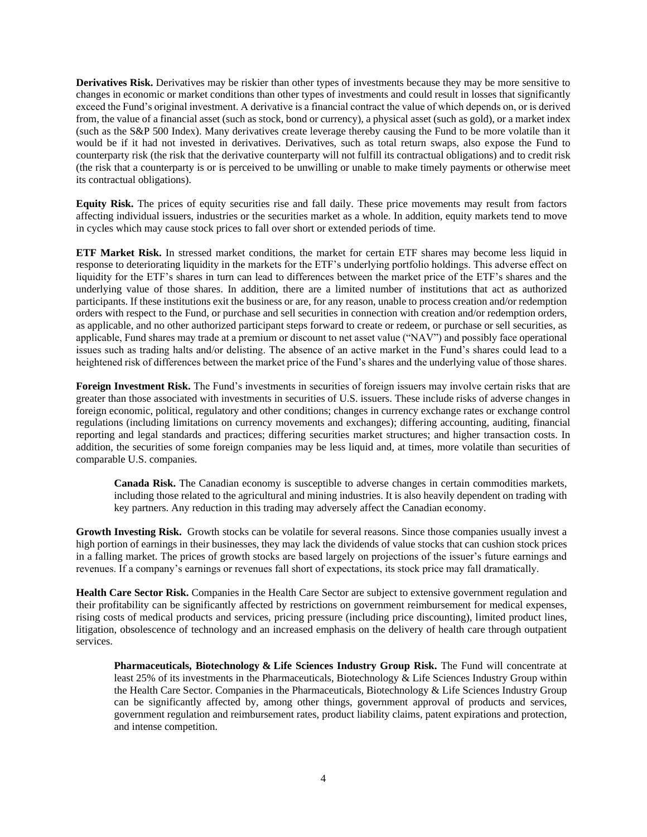**Derivatives Risk.** Derivatives may be riskier than other types of investments because they may be more sensitive to changes in economic or market conditions than other types of investments and could result in losses that significantly exceed the Fund's original investment. A derivative is a financial contract the value of which depends on, or is derived from, the value of a financial asset (such as stock, bond or currency), a physical asset (such as gold), or a market index (such as the S&P 500 Index). Many derivatives create leverage thereby causing the Fund to be more volatile than it would be if it had not invested in derivatives. Derivatives, such as total return swaps, also expose the Fund to counterparty risk (the risk that the derivative counterparty will not fulfill its contractual obligations) and to credit risk (the risk that a counterparty is or is perceived to be unwilling or unable to make timely payments or otherwise meet its contractual obligations).

**Equity Risk.** The prices of equity securities rise and fall daily. These price movements may result from factors affecting individual issuers, industries or the securities market as a whole. In addition, equity markets tend to move in cycles which may cause stock prices to fall over short or extended periods of time.

**ETF Market Risk.** In stressed market conditions, the market for certain ETF shares may become less liquid in response to deteriorating liquidity in the markets for the ETF's underlying portfolio holdings. This adverse effect on liquidity for the ETF's shares in turn can lead to differences between the market price of the ETF's shares and the underlying value of those shares. In addition, there are a limited number of institutions that act as authorized participants. If these institutions exit the business or are, for any reason, unable to process creation and/or redemption orders with respect to the Fund, or purchase and sell securities in connection with creation and/or redemption orders, as applicable, and no other authorized participant steps forward to create or redeem, or purchase or sell securities, as applicable, Fund shares may trade at a premium or discount to net asset value ("NAV") and possibly face operational issues such as trading halts and/or delisting. The absence of an active market in the Fund's shares could lead to a heightened risk of differences between the market price of the Fund's shares and the underlying value of those shares.

**Foreign Investment Risk.** The Fund's investments in securities of foreign issuers may involve certain risks that are greater than those associated with investments in securities of U.S. issuers. These include risks of adverse changes in foreign economic, political, regulatory and other conditions; changes in currency exchange rates or exchange control regulations (including limitations on currency movements and exchanges); differing accounting, auditing, financial reporting and legal standards and practices; differing securities market structures; and higher transaction costs. In addition, the securities of some foreign companies may be less liquid and, at times, more volatile than securities of comparable U.S. companies.

**Canada Risk.** The Canadian economy is susceptible to adverse changes in certain commodities markets, including those related to the agricultural and mining industries. It is also heavily dependent on trading with key partners. Any reduction in this trading may adversely affect the Canadian economy.

**Growth Investing Risk.** Growth stocks can be volatile for several reasons. Since those companies usually invest a high portion of earnings in their businesses, they may lack the dividends of value stocks that can cushion stock prices in a falling market. The prices of growth stocks are based largely on projections of the issuer's future earnings and revenues. If a company's earnings or revenues fall short of expectations, its stock price may fall dramatically.

**Health Care Sector Risk.** Companies in the Health Care Sector are subject to extensive government regulation and their profitability can be significantly affected by restrictions on government reimbursement for medical expenses, rising costs of medical products and services, pricing pressure (including price discounting), limited product lines, litigation, obsolescence of technology and an increased emphasis on the delivery of health care through outpatient services.

**Pharmaceuticals, Biotechnology & Life Sciences Industry Group Risk.** The Fund will concentrate at least 25% of its investments in the Pharmaceuticals, Biotechnology & Life Sciences Industry Group within the Health Care Sector. Companies in the Pharmaceuticals, Biotechnology & Life Sciences Industry Group can be significantly affected by, among other things, government approval of products and services, government regulation and reimbursement rates, product liability claims, patent expirations and protection, and intense competition.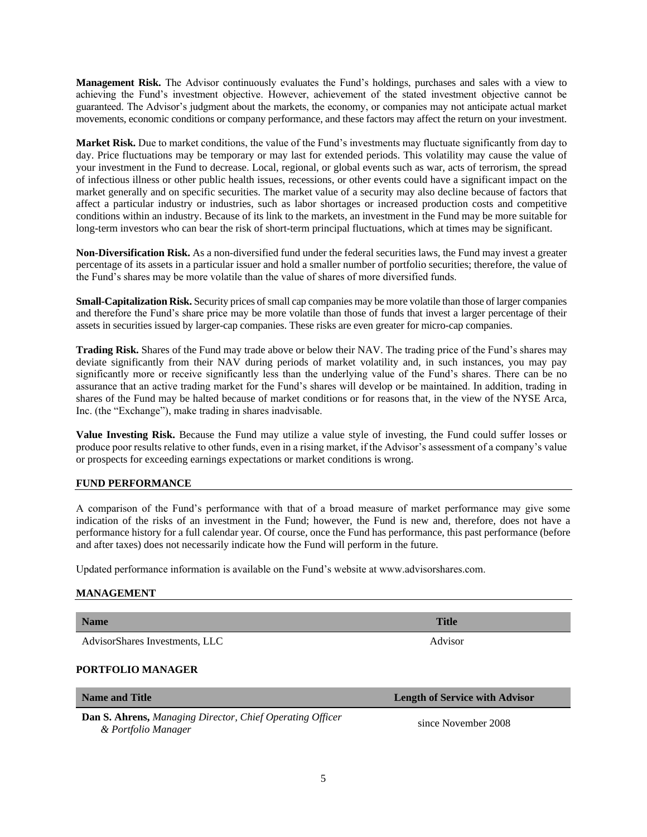**Market Risk.** Due to market conditions, the value of the Fund's investments may fluctuate significantly from day to day. Price fluctuations may be temporary or may last for extended periods. This volatility may cause the value of your investment in the Fund to decrease. Local, regional, or global events such as war, acts of terrorism, the spread

of infectious illness or other public health issues, recessions, or other events could have a significant impact on the market generally and on specific securities. The market value of a security may also decline because of factors that affect a particular industry or industries, such as labor shortages or increased production costs and competitive conditions within an industry. Because of its link to the markets, an investment in the Fund may be more suitable for long-term investors who can bear the risk of short-term principal fluctuations, which at times may be significant.

**Management Risk.** The Advisor continuously evaluates the Fund's holdings, purchases and sales with a view to achieving the Fund's investment objective. However, achievement of the stated investment objective cannot be guaranteed. The Advisor's judgment about the markets, the economy, or companies may not anticipate actual market movements, economic conditions or company performance, and these factors may affect the return on your investment.

**Non-Diversification Risk.** As a non-diversified fund under the federal securities laws, the Fund may invest a greater percentage of its assets in a particular issuer and hold a smaller number of portfolio securities; therefore, the value of the Fund's shares may be more volatile than the value of shares of more diversified funds.

**Small-Capitalization Risk.** Security prices of small cap companies may be more volatile than those of larger companies and therefore the Fund's share price may be more volatile than those of funds that invest a larger percentage of their assets in securities issued by larger-cap companies. These risks are even greater for micro-cap companies.

**Trading Risk.** Shares of the Fund may trade above or below their NAV. The trading price of the Fund's shares may deviate significantly from their NAV during periods of market volatility and, in such instances, you may pay significantly more or receive significantly less than the underlying value of the Fund's shares. There can be no assurance that an active trading market for the Fund's shares will develop or be maintained. In addition, trading in shares of the Fund may be halted because of market conditions or for reasons that, in the view of the NYSE Arca, Inc. (the "Exchange"), make trading in shares inadvisable.

**Value Investing Risk.** Because the Fund may utilize a value style of investing, the Fund could suffer losses or produce poor results relative to other funds, even in a rising market, if the Advisor's assessment of a company's value or prospects for exceeding earnings expectations or market conditions is wrong.

## **FUND PERFORMANCE**

A comparison of the Fund's performance with that of a broad measure of market performance may give some indication of the risks of an investment in the Fund; however, the Fund is new and, therefore, does not have a performance history for a full calendar year. Of course, once the Fund has performance, this past performance (before and after taxes) does not necessarily indicate how the Fund will perform in the future.

Updated performance information is available on the Fund's website at www.advisorshares.com.

#### **MANAGEMENT**

**Name Title** AdvisorShares Investments, LLC Advisor

### **PORTFOLIO MANAGER**

| <b>Name and Title</b>                                            | <b>Length of Service with Advisor</b> |
|------------------------------------------------------------------|---------------------------------------|
| <b>Dan S. Ahrens, Managing Director, Chief Operating Officer</b> | since November 2008                   |
| & Portfolio Manager                                              |                                       |

5